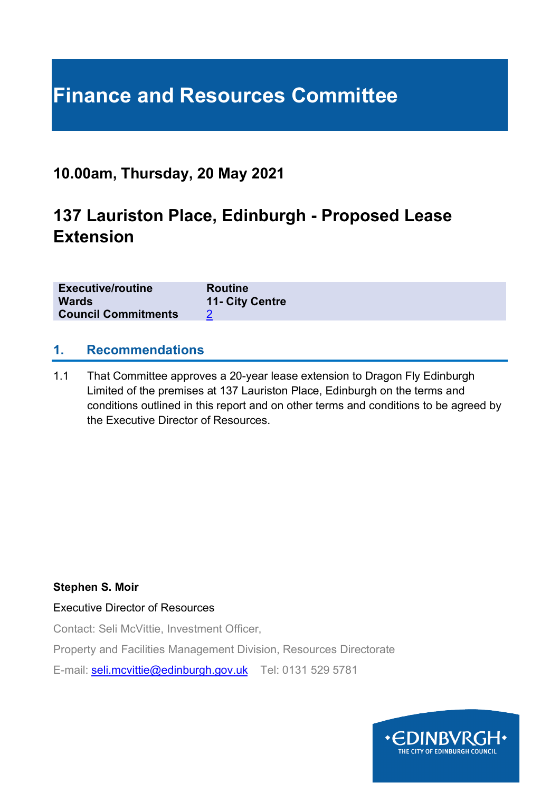# **Finance and Resources Committee**

### **10.00am, Thursday, 20 May 2021**

## **137 Lauriston Place, Edinburgh - Proposed Lease Extension**

| <b>Executive/routine</b>   | <b>Routine</b>  |
|----------------------------|-----------------|
| <b>Wards</b>               | 11- City Centre |
| <b>Council Commitments</b> |                 |

#### **1. Recommendations**

1.1 That Committee approves a 20-year lease extension to Dragon Fly Edinburgh Limited of the premises at 137 Lauriston Place, Edinburgh on the terms and conditions outlined in this report and on other terms and conditions to be agreed by the Executive Director of Resources.

#### **Stephen S. Moir**

#### Executive Director of Resources

Contact: Seli McVittie, Investment Officer,

Property and Facilities Management Division, Resources Directorate

E-mail: [seli.mcvittie@edinburgh.gov.uk](mailto:seli.mcvittie@edinburgh.gov.uk) Tel: 0131 529 5781

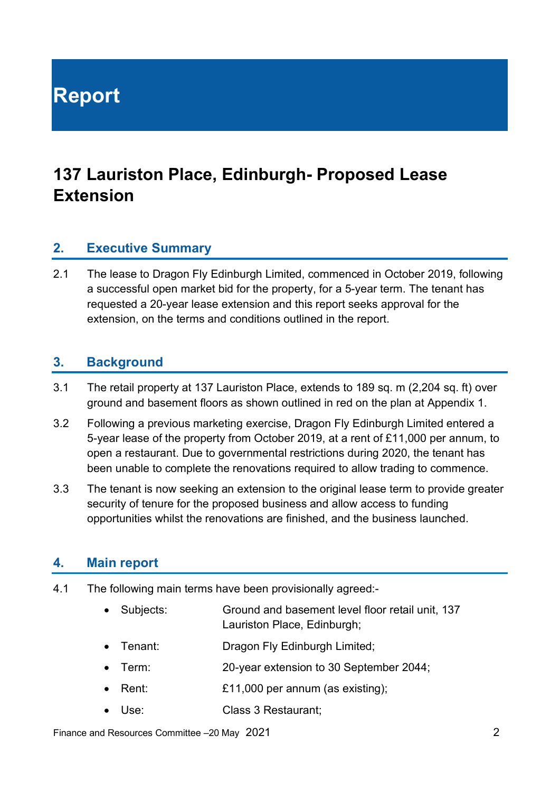**Report**

## **137 Lauriston Place, Edinburgh- Proposed Lease Extension**

#### **2. Executive Summary**

2.1 The lease to Dragon Fly Edinburgh Limited, commenced in October 2019, following a successful open market bid for the property, for a 5-year term. The tenant has requested a 20-year lease extension and this report seeks approval for the extension, on the terms and conditions outlined in the report.

#### **3. Background**

- 3.1 The retail property at 137 Lauriston Place, extends to 189 sq. m (2,204 sq. ft) over ground and basement floors as shown outlined in red on the plan at Appendix 1.
- 3.2 Following a previous marketing exercise, Dragon Fly Edinburgh Limited entered a 5-year lease of the property from October 2019, at a rent of £11,000 per annum, to open a restaurant. Due to governmental restrictions during 2020, the tenant has been unable to complete the renovations required to allow trading to commence.
- 3.3 The tenant is now seeking an extension to the original lease term to provide greater security of tenure for the proposed business and allow access to funding opportunities whilst the renovations are finished, and the business launched.

#### **4. Main report**

- 4.1 The following main terms have been provisionally agreed:-
	- Subjects: Ground and basement level floor retail unit, 137 Lauriston Place, Edinburgh;
	- Tenant: Dragon Fly Edinburgh Limited;
	- Term: 20-year extension to 30 September 2044;
	- Rent: £11,000 per annum (as existing);
	- Use: Class 3 Restaurant:

Finance and Resources Committee –20 May 2021 2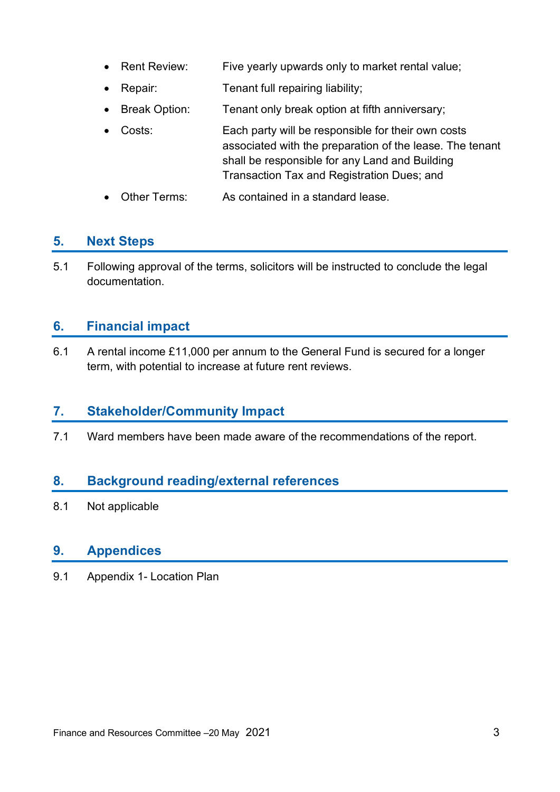- Rent Review: Five yearly upwards only to market rental value;
- **Repair:** Tenant full repairing liability;
- Break Option: Tenant only break option at fifth anniversary;
- Costs: Each party will be responsible for their own costs associated with the preparation of the lease. The tenant shall be responsible for any Land and Building Transaction Tax and Registration Dues; and
- Other Terms: As contained in a standard lease.

### **5. Next Steps**

5.1 Following approval of the terms, solicitors will be instructed to conclude the legal documentation.

### **6. Financial impact**

6.1 A rental income £11,000 per annum to the General Fund is secured for a longer term, with potential to increase at future rent reviews.

#### **7. Stakeholder/Community Impact**

7.1 Ward members have been made aware of the recommendations of the report.

### **8. Background reading/external references**

8.1 Not applicable

#### **9. Appendices**

9.1 Appendix 1- Location Plan